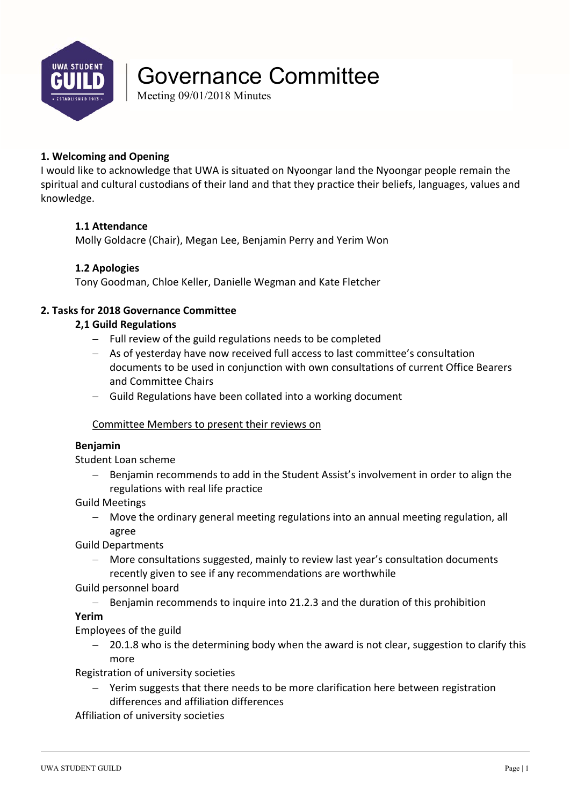

# Governance Committee

Meeting 09/01/2018 Minutes

### **1. Welcoming and Opening**

I would like to acknowledge that UWA is situated on Nyoongar land the Nyoongar people remain the spiritual and cultural custodians of their land and that they practice their beliefs, languages, values and knowledge.

### **1.1 Attendance**

Molly Goldacre (Chair), Megan Lee, Benjamin Perry and Yerim Won

#### **1.2 Apologies**

Tony Goodman, Chloe Keller, Danielle Wegman and Kate Fletcher

#### **2. Tasks for 2018 Governance Committee**

#### **2,1 Guild Regulations**

- $-$  Full review of the guild regulations needs to be completed
- As of yesterday have now received full access to last committee's consultation documents to be used in conjunction with own consultations of current Office Bearers and Committee Chairs
- Guild Regulations have been collated into a working document

#### Committee Members to present their reviews on

#### **Benjamin**

Student Loan scheme

- Benjamin recommends to add in the Student Assist's involvement in order to align the regulations with real life practice
- Guild Meetings
	- Move the ordinary general meeting regulations into an annual meeting regulation, all agree

Guild Departments

- More consultations suggested, mainly to review last year's consultation documents recently given to see if any recommendations are worthwhile
- Guild personnel board
	- Benjamin recommends to inquire into 21.2.3 and the duration of this prohibition

#### **Yerim**

Employees of the guild

 $-$  20.1.8 who is the determining body when the award is not clear, suggestion to clarify this more

Registration of university societies

 Yerim suggests that there needs to be more clarification here between registration differences and affiliation differences

Affiliation of university societies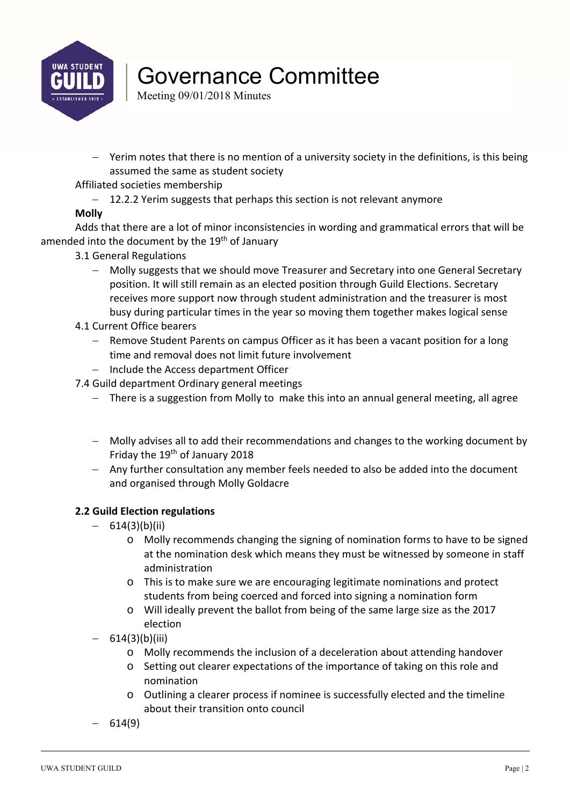

# Governance Committee

Meeting 09/01/2018 Minutes

- Yerim notes that there is no mention of a university society in the definitions, is this being assumed the same as student society
- Affiliated societies membership
	- 12.2.2 Yerim suggests that perhaps this section is not relevant anymore

### **Molly**

Adds that there are a lot of minor inconsistencies in wording and grammatical errors that will be amended into the document by the 19<sup>th</sup> of January

- 3.1 General Regulations
	- Molly suggests that we should move Treasurer and Secretary into one General Secretary position. It will still remain as an elected position through Guild Elections. Secretary receives more support now through student administration and the treasurer is most busy during particular times in the year so moving them together makes logical sense
- 4.1 Current Office bearers
	- Remove Student Parents on campus Officer as it has been a vacant position for a long time and removal does not limit future involvement
	- $-$  Include the Access department Officer
- 7.4 Guild department Ordinary general meetings
	- There is a suggestion from Molly to make this into an annual general meeting, all agree
	- Molly advises all to add their recommendations and changes to the working document by Friday the 19<sup>th</sup> of January 2018
	- Any further consultation any member feels needed to also be added into the document and organised through Molly Goldacre

### **2.2 Guild Election regulations**

- $-614(3)(b)(ii)$ 
	- o Molly recommends changing the signing of nomination forms to have to be signed at the nomination desk which means they must be witnessed by someone in staff administration
	- o This is to make sure we are encouraging legitimate nominations and protect students from being coerced and forced into signing a nomination form
	- o Will ideally prevent the ballot from being of the same large size as the 2017 election
- $-614(3)(b)(iii)$ 
	- o Molly recommends the inclusion of a deceleration about attending handover
	- o Setting out clearer expectations of the importance of taking on this role and nomination
	- o Outlining a clearer process if nominee is successfully elected and the timeline about their transition onto council
- $-614(9)$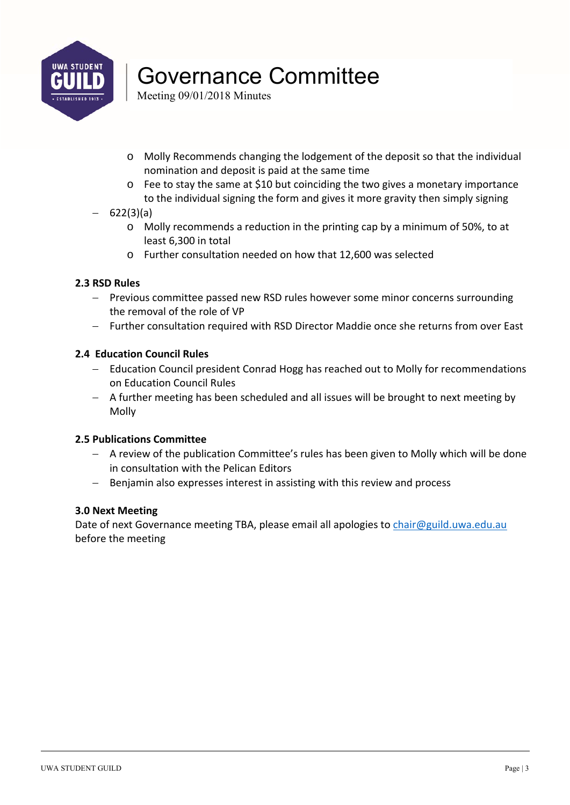

# Governance Committee

Meeting 09/01/2018 Minutes

- o Molly Recommends changing the lodgement of the deposit so that the individual nomination and deposit is paid at the same time
- o Fee to stay the same at \$10 but coinciding the two gives a monetary importance to the individual signing the form and gives it more gravity then simply signing

### $-622(3)(a)$

- o Molly recommends a reduction in the printing cap by a minimum of 50%, to at least 6,300 in total
- o Further consultation needed on how that 12,600 was selected

### **2.3 RSD Rules**

- Previous committee passed new RSD rules however some minor concerns surrounding the removal of the role of VP
- Further consultation required with RSD Director Maddie once she returns from over East

### **2.4 Education Council Rules**

- Education Council president Conrad Hogg has reached out to Molly for recommendations on Education Council Rules
- A further meeting has been scheduled and all issues will be brought to next meeting by Molly

### **2.5 Publications Committee**

- A review of the publication Committee's rules has been given to Molly which will be done in consultation with the Pelican Editors
- Benjamin also expresses interest in assisting with this review and process

### **3.0 Next Meeting**

Date of next Governance meeting TBA, please email all apologies to chair@guild.uwa.edu.au before the meeting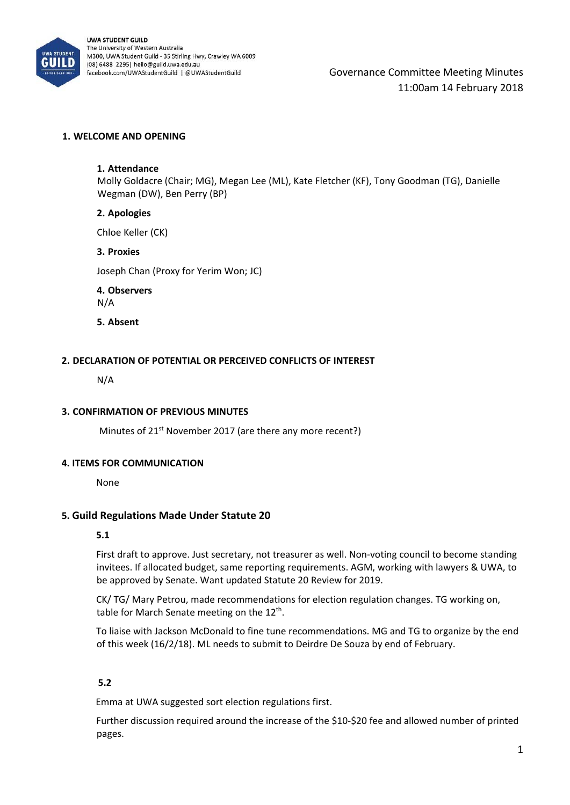

Governance Committee Meeting Minutes 11:00am 14 February 2018

#### **1. WELCOME AND OPENING**

#### **1. Attendance**

Molly Goldacre (Chair; MG), Megan Lee (ML), Kate Fletcher (KF), Tony Goodman (TG), Danielle Wegman (DW), Ben Perry (BP)

#### **2. Apologies**

Chloe Keller (CK)

#### **3. Proxies**

Joseph Chan (Proxy for Yerim Won; JC)

**4. Observers**  N/A

**5. Absent** 

#### **2. DECLARATION OF POTENTIAL OR PERCEIVED CONFLICTS OF INTEREST**

N/A

#### **3. CONFIRMATION OF PREVIOUS MINUTES**

Minutes of 21<sup>st</sup> November 2017 (are there any more recent?)

#### **4. ITEMS FOR COMMUNICATION**

None

#### **5. Guild Regulations Made Under Statute 20**

#### **5.1**

First draft to approve. Just secretary, not treasurer as well. Non-voting council to become standing invitees. If allocated budget, same reporting requirements. AGM, working with lawyers & UWA, to be approved by Senate. Want updated Statute 20 Review for 2019.

CK/ TG/ Mary Petrou, made recommendations for election regulation changes. TG working on, table for March Senate meeting on the  $12<sup>th</sup>$ .

To liaise with Jackson McDonald to fine tune recommendations. MG and TG to organize by the end of this week (16/2/18). ML needs to submit to Deirdre De Souza by end of February.

#### **5.2**

Emma at UWA suggested sort election regulations first.

Further discussion required around the increase of the \$10‐\$20 fee and allowed number of printed pages.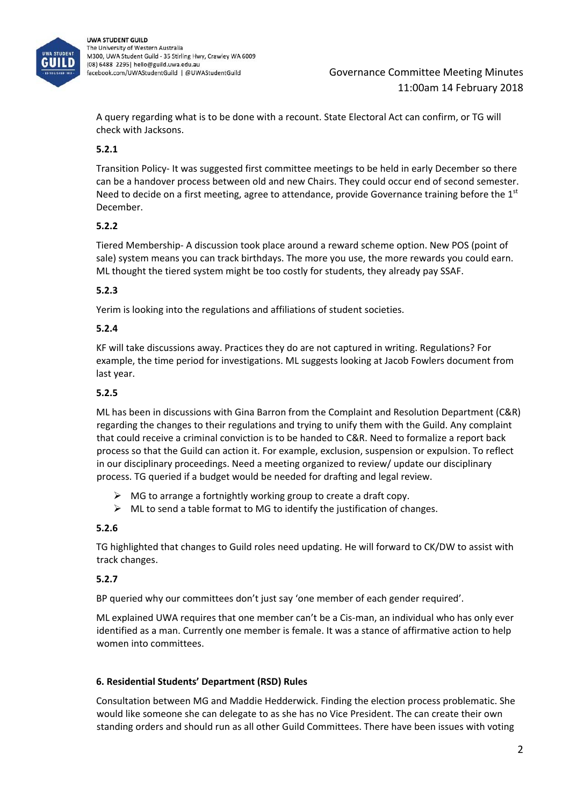

### Governance Committee Meeting Minutes 11:00am 14 February 2018

A query regarding what is to be done with a recount. State Electoral Act can confirm, or TG will check with Jacksons.

### **5.2.1**

Transition Policy‐ It was suggested first committee meetings to be held in early December so there can be a handover process between old and new Chairs. They could occur end of second semester. Need to decide on a first meeting, agree to attendance, provide Governance training before the  $1<sup>st</sup>$ December.

#### **5.2.2**

Tiered Membership‐ A discussion took place around a reward scheme option. New POS (point of sale) system means you can track birthdays. The more you use, the more rewards you could earn. ML thought the tiered system might be too costly for students, they already pay SSAF.

#### **5.2.3**

Yerim is looking into the regulations and affiliations of student societies.

#### **5.2.4**

KF will take discussions away. Practices they do are not captured in writing. Regulations? For example, the time period for investigations. ML suggests looking at Jacob Fowlers document from last year.

#### **5.2.5**

ML has been in discussions with Gina Barron from the Complaint and Resolution Department (C&R) regarding the changes to their regulations and trying to unify them with the Guild. Any complaint that could receive a criminal conviction is to be handed to C&R. Need to formalize a report back process so that the Guild can action it. For example, exclusion, suspension or expulsion. To reflect in our disciplinary proceedings. Need a meeting organized to review/ update our disciplinary process. TG queried if a budget would be needed for drafting and legal review.

- $\triangleright$  MG to arrange a fortnightly working group to create a draft copy.
- $\triangleright$  ML to send a table format to MG to identify the justification of changes.

#### **5.2.6**

TG highlighted that changes to Guild roles need updating. He will forward to CK/DW to assist with track changes.

### **5.2.7**

BP queried why our committees don't just say 'one member of each gender required'.

ML explained UWA requires that one member can't be a Cis-man, an individual who has only ever identified as a man. Currently one member is female. It was a stance of affirmative action to help women into committees.

#### **6. Residential Students' Department (RSD) Rules**

Consultation between MG and Maddie Hedderwick. Finding the election process problematic. She would like someone she can delegate to as she has no Vice President. The can create their own standing orders and should run as all other Guild Committees. There have been issues with voting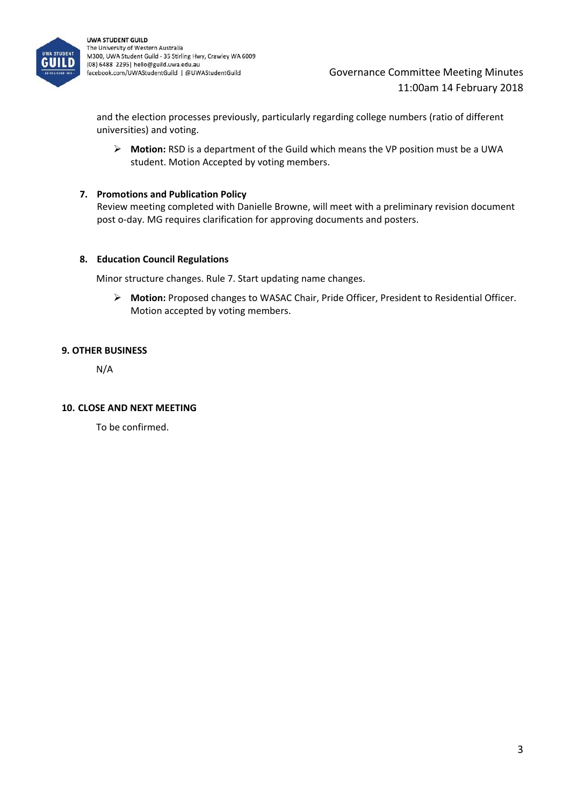

### Governance Committee Meeting Minutes 11:00am 14 February 2018

and the election processes previously, particularly regarding college numbers (ratio of different universities) and voting.

 **Motion:** RSD is a department of the Guild which means the VP position must be a UWA student. Motion Accepted by voting members.

#### **7. Promotions and Publication Policy**

Review meeting completed with Danielle Browne, will meet with a preliminary revision document post o‐day. MG requires clarification for approving documents and posters.

#### **8. Education Council Regulations**

Minor structure changes. Rule 7. Start updating name changes.

 **Motion:** Proposed changes to WASAC Chair, Pride Officer, President to Residential Officer. Motion accepted by voting members.

#### **9. OTHER BUSINESS**

N/A

#### **10. CLOSE AND NEXT MEETING**

To be confirmed.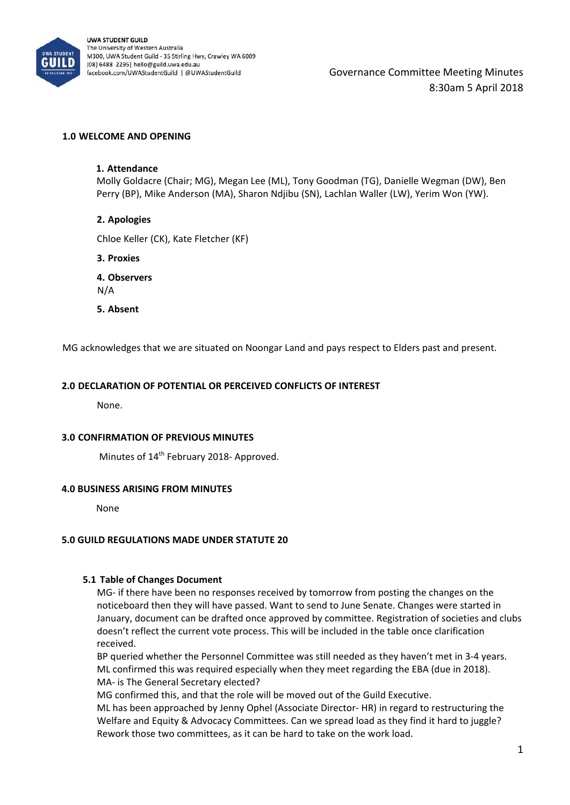

Governance Committee Meeting Minutes 8:30am 5 April 2018

#### **1.0 WELCOME AND OPENING**

#### **1. Attendance**

Molly Goldacre (Chair; MG), Megan Lee (ML), Tony Goodman (TG), Danielle Wegman (DW), Ben Perry (BP), Mike Anderson (MA), Sharon Ndjibu (SN), Lachlan Waller (LW), Yerim Won (YW).

#### **2. Apologies**

Chloe Keller (CK), Kate Fletcher (KF)

**3. Proxies** 

**4. Observers**  N/A

**5. Absent** 

MG acknowledges that we are situated on Noongar Land and pays respect to Elders past and present.

#### **2.0 DECLARATION OF POTENTIAL OR PERCEIVED CONFLICTS OF INTEREST**

None.

#### **3.0 CONFIRMATION OF PREVIOUS MINUTES**

Minutes of 14th February 2018‐ Approved.

#### **4.0 BUSINESS ARISING FROM MINUTES**

None

#### **5.0 GUILD REGULATIONS MADE UNDER STATUTE 20**

#### **5.1 Table of Changes Document**

MG‐ if there have been no responses received by tomorrow from posting the changes on the noticeboard then they will have passed. Want to send to June Senate. Changes were started in January, document can be drafted once approved by committee. Registration of societies and clubs doesn't reflect the current vote process. This will be included in the table once clarification received.

BP queried whether the Personnel Committee was still needed as they haven't met in 3‐4 years. ML confirmed this was required especially when they meet regarding the EBA (due in 2018). MA‐ is The General Secretary elected?

MG confirmed this, and that the role will be moved out of the Guild Executive.

ML has been approached by Jenny Ophel (Associate Director‐ HR) in regard to restructuring the Welfare and Equity & Advocacy Committees. Can we spread load as they find it hard to juggle? Rework those two committees, as it can be hard to take on the work load.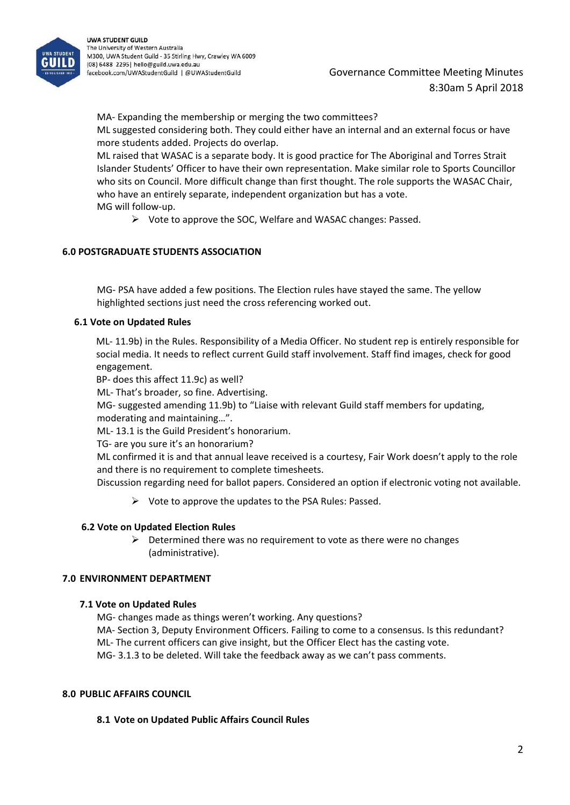

MA‐ Expanding the membership or merging the two committees?

ML suggested considering both. They could either have an internal and an external focus or have more students added. Projects do overlap.

ML raised that WASAC is a separate body. It is good practice for The Aboriginal and Torres Strait Islander Students' Officer to have their own representation. Make similar role to Sports Councillor who sits on Council. More difficult change than first thought. The role supports the WASAC Chair, who have an entirely separate, independent organization but has a vote. MG will follow‐up.

 $\triangleright$  Vote to approve the SOC, Welfare and WASAC changes: Passed.

#### **6.0 POSTGRADUATE STUDENTS ASSOCIATION**

MG‐ PSA have added a few positions. The Election rules have stayed the same. The yellow highlighted sections just need the cross referencing worked out.

#### **6.1 Vote on Updated Rules**

ML‐ 11.9b) in the Rules. Responsibility of a Media Officer. No student rep is entirely responsible for social media. It needs to reflect current Guild staff involvement. Staff find images, check for good engagement.

BP‐ does this affect 11.9c) as well?

ML‐ That's broader, so fine. Advertising.

MG‐ suggested amending 11.9b) to "Liaise with relevant Guild staff members for updating, moderating and maintaining…".

ML‐ 13.1 is the Guild President's honorarium.

TG‐ are you sure it's an honorarium?

ML confirmed it is and that annual leave received is a courtesy, Fair Work doesn't apply to the role and there is no requirement to complete timesheets.

Discussion regarding need for ballot papers. Considered an option if electronic voting not available.

 $\triangleright$  Vote to approve the updates to the PSA Rules: Passed.

#### **6.2 Vote on Updated Election Rules**

 $\triangleright$  Determined there was no requirement to vote as there were no changes (administrative).

#### **7.0 ENVIRONMENT DEPARTMENT**

#### **7.1 Vote on Updated Rules**

MG‐ changes made as things weren't working. Any questions?

MA‐ Section 3, Deputy Environment Officers. Failing to come to a consensus. Is this redundant?

ML‐ The current officers can give insight, but the Officer Elect has the casting vote.

MG‐ 3.1.3 to be deleted. Will take the feedback away as we can't pass comments.

#### **8.0 PUBLIC AFFAIRS COUNCIL**

#### **8.1 Vote on Updated Public Affairs Council Rules**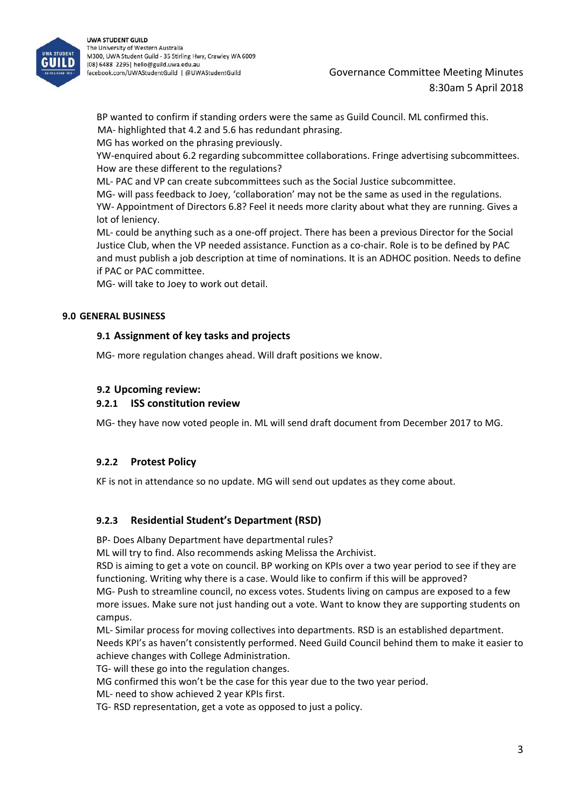

BP wanted to confirm if standing orders were the same as Guild Council. ML confirmed this. MA‐ highlighted that 4.2 and 5.6 has redundant phrasing.

MG has worked on the phrasing previously.

YW-enquired about 6.2 regarding subcommittee collaborations. Fringe advertising subcommittees. How are these different to the regulations?

ML‐ PAC and VP can create subcommittees such as the Social Justice subcommittee.

MG‐ will pass feedback to Joey, 'collaboration' may not be the same as used in the regulations. YW‐ Appointment of Directors 6.8? Feel it needs more clarity about what they are running. Gives a lot of leniency.

ML‐ could be anything such as a one‐off project. There has been a previous Director for the Social Justice Club, when the VP needed assistance. Function as a co‐chair. Role is to be defined by PAC and must publish a job description at time of nominations. It is an ADHOC position. Needs to define if PAC or PAC committee.

MG‐ will take to Joey to work out detail.

#### **9.0 GENERAL BUSINESS**

#### **9.1 Assignment of key tasks and projects**

MG‐ more regulation changes ahead. Will draft positions we know.

#### **9.2 Upcoming review:**

#### **9.2.1 ISS constitution review**

MG‐ they have now voted people in. ML will send draft document from December 2017 to MG.

#### **9.2.2 Protest Policy**

KF is not in attendance so no update. MG will send out updates as they come about.

#### **9.2.3 Residential Student's Department (RSD)**

BP‐ Does Albany Department have departmental rules?

ML will try to find. Also recommends asking Melissa the Archivist.

RSD is aiming to get a vote on council. BP working on KPIs over a two year period to see if they are functioning. Writing why there is a case. Would like to confirm if this will be approved? MG‐ Push to streamline council, no excess votes. Students living on campus are exposed to a few

more issues. Make sure not just handing out a vote. Want to know they are supporting students on campus.

ML‐ Similar process for moving collectives into departments. RSD is an established department. Needs KPI's as haven't consistently performed. Need Guild Council behind them to make it easier to achieve changes with College Administration.

TG‐ will these go into the regulation changes.

MG confirmed this won't be the case for this year due to the two year period.

ML‐ need to show achieved 2 year KPIs first.

TG‐ RSD representation, get a vote as opposed to just a policy.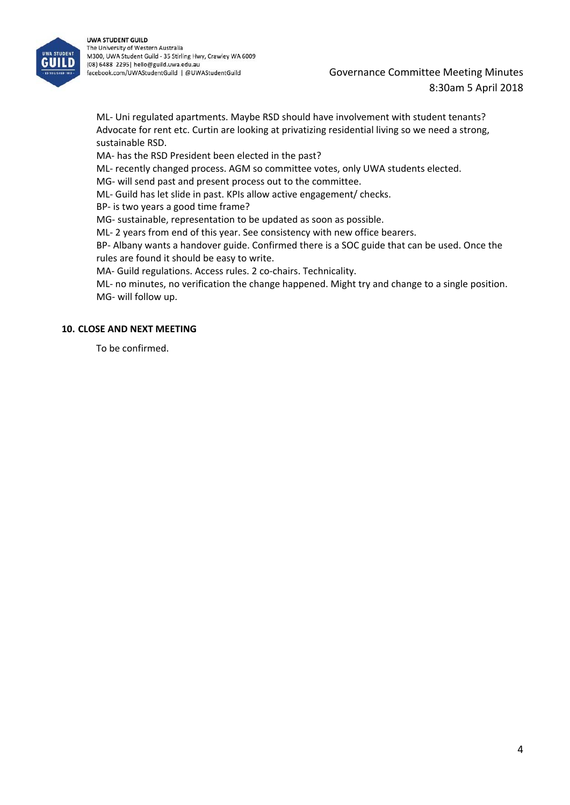

Governance Committee Meeting Minutes 8:30am 5 April 2018

ML‐ Uni regulated apartments. Maybe RSD should have involvement with student tenants? Advocate for rent etc. Curtin are looking at privatizing residential living so we need a strong, sustainable RSD.

MA‐ has the RSD President been elected in the past?

ML‐ recently changed process. AGM so committee votes, only UWA students elected.

MG‐ will send past and present process out to the committee.

ML‐ Guild has let slide in past. KPIs allow active engagement/ checks.

BP‐ is two years a good time frame?

MG‐ sustainable, representation to be updated as soon as possible.

ML‐ 2 years from end of this year. See consistency with new office bearers.

BP‐ Albany wants a handover guide. Confirmed there is a SOC guide that can be used. Once the rules are found it should be easy to write.

MA- Guild regulations. Access rules. 2 co-chairs. Technicality.

ML‐ no minutes, no verification the change happened. Might try and change to a single position. MG‐ will follow up.

#### **10. CLOSE AND NEXT MEETING**

To be confirmed.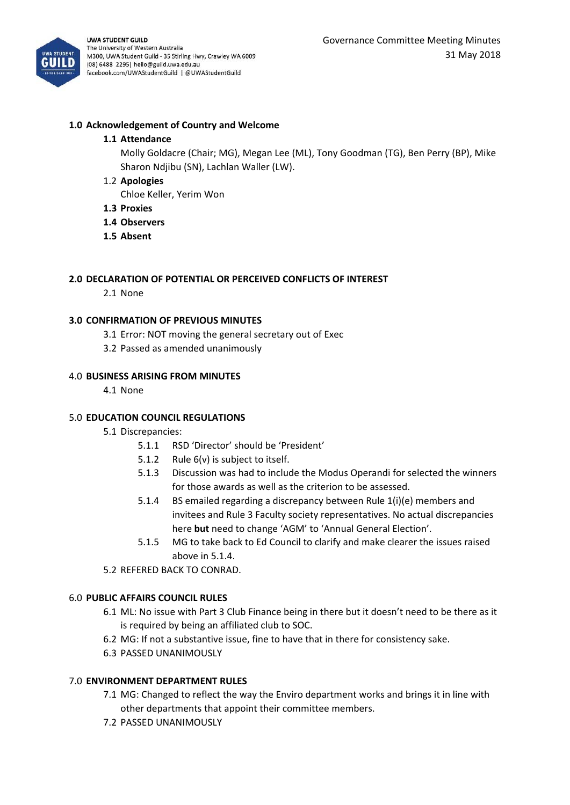

#### **1.0 Acknowledgement of Country and Welcome**

#### **1.1 Attendance**

Molly Goldacre (Chair; MG), Megan Lee (ML), Tony Goodman (TG), Ben Perry (BP), Mike Sharon Ndjibu (SN), Lachlan Waller (LW).

1.2 **Apologies**

Chloe Keller, Yerim Won

- **1.3 Proxies**
- **1.4 Observers**
- **1.5 Absent**

#### **2.0 DECLARATION OF POTENTIAL OR PERCEIVED CONFLICTS OF INTEREST**

2.1 None

#### **3.0 CONFIRMATION OF PREVIOUS MINUTES**

- 3.1 Error: NOT moving the general secretary out of Exec
- 3.2 Passed as amended unanimously

#### 4.0 **BUSINESS ARISING FROM MINUTES**

4.1 None

#### 5.0 **EDUCATION COUNCIL REGULATIONS**

#### 5.1 Discrepancies:

- 5.1.1 RSD 'Director' should be 'President'
- 5.1.2 Rule 6(v) is subject to itself.
- 5.1.3 Discussion was had to include the Modus Operandi for selected the winners for those awards as well as the criterion to be assessed.
- 5.1.4 BS emailed regarding a discrepancy between Rule 1(i)(e) members and invitees and Rule 3 Faculty society representatives. No actual discrepancies here **but** need to change 'AGM' to 'Annual General Election'.
- 5.1.5 MG to take back to Ed Council to clarify and make clearer the issues raised above in 5.1.4.
- 5.2 REFERED BACK TO CONRAD.

#### 6.0 **PUBLIC AFFAIRS COUNCIL RULES**

- 6.1 ML: No issue with Part 3 Club Finance being in there but it doesn't need to be there as it is required by being an affiliated club to SOC.
- 6.2 MG: If not a substantive issue, fine to have that in there for consistency sake.
- 6.3 PASSED UNANIMOUSLY

#### 7.0 **ENVIRONMENT DEPARTMENT RULES**

- 7.1 MG: Changed to reflect the way the Enviro department works and brings it in line with other departments that appoint their committee members.
- 7.2 PASSED UNANIMOUSLY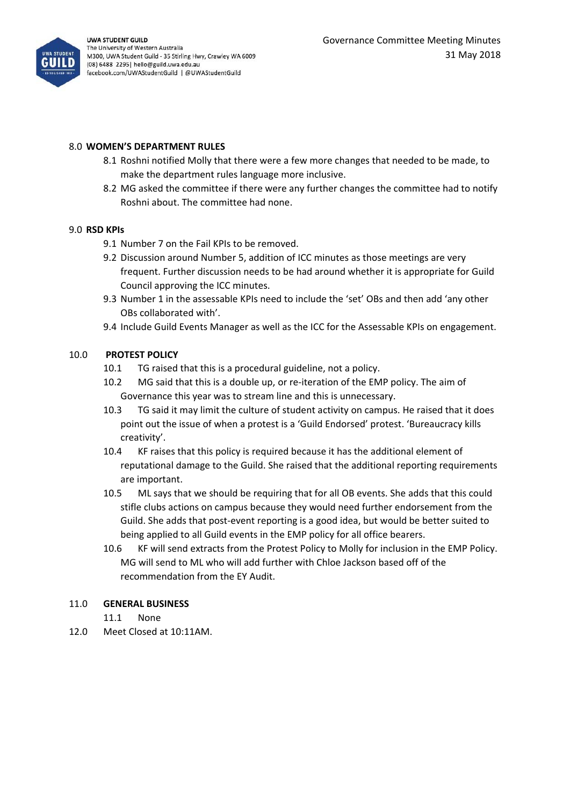

#### 8.0 **WOMEN'S DEPARTMENT RULES**

- 8.1 Roshni notified Molly that there were a few more changes that needed to be made, to make the department rules language more inclusive.
- 8.2 MG asked the committee if there were any further changes the committee had to notify Roshni about. The committee had none.

#### 9.0 **RSD KPIs**

- 9.1 Number 7 on the Fail KPIs to be removed.
- 9.2 Discussion around Number 5, addition of ICC minutes as those meetings are very frequent. Further discussion needs to be had around whether it is appropriate for Guild Council approving the ICC minutes.
- 9.3 Number 1 in the assessable KPIs need to include the 'set' OBs and then add 'any other OBs collaborated with'.
- 9.4 Include Guild Events Manager as well as the ICC for the Assessable KPIs on engagement.

#### 10.0 **PROTEST POLICY**

- 10.1 TG raised that this is a procedural guideline, not a policy.
- 10.2 MG said that this is a double up, or re‐iteration of the EMP policy. The aim of Governance this year was to stream line and this is unnecessary.
- 10.3 TG said it may limit the culture of student activity on campus. He raised that it does point out the issue of when a protest is a 'Guild Endorsed' protest. 'Bureaucracy kills creativity'.
- 10.4 KF raises that this policy is required because it has the additional element of reputational damage to the Guild. She raised that the additional reporting requirements are important.
- 10.5 ML says that we should be requiring that for all OB events. She adds that this could stifle clubs actions on campus because they would need further endorsement from the Guild. She adds that post‐event reporting is a good idea, but would be better suited to being applied to all Guild events in the EMP policy for all office bearers.
- 10.6 KF will send extracts from the Protest Policy to Molly for inclusion in the EMP Policy. MG will send to ML who will add further with Chloe Jackson based off of the recommendation from the EY Audit.

#### 11.0 **GENERAL BUSINESS**

11.1 None

12.0 Meet Closed at 10:11AM.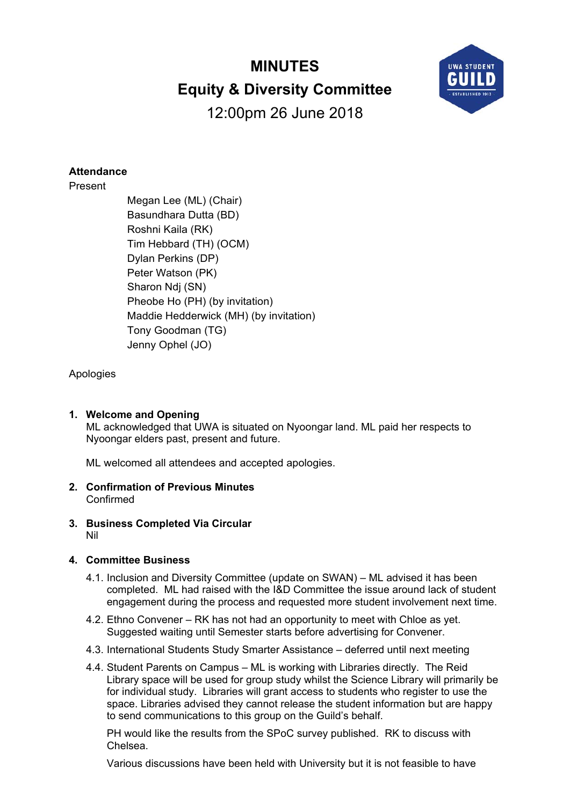# **MINUTES Equity & Diversity Committee**



12:00pm 26 June 2018

### **Attendance**

Present

 Megan Lee (ML) (Chair) Basundhara Dutta (BD) Roshni Kaila (RK) Tim Hebbard (TH) (OCM) Dylan Perkins (DP) Peter Watson (PK) Sharon Ndj (SN) Pheobe Ho (PH) (by invitation) Maddie Hedderwick (MH) (by invitation) Tony Goodman (TG) Jenny Ophel (JO)

### Apologies

#### **1. Welcome and Opening**

ML acknowledged that UWA is situated on Nyoongar land. ML paid her respects to Nyoongar elders past, present and future.

ML welcomed all attendees and accepted apologies.

- **2. Confirmation of Previous Minutes**  Confirmed
- **3. Business Completed Via Circular**  Nil

#### **4. Committee Business**

- 4.1. Inclusion and Diversity Committee (update on SWAN) ML advised it has been completed. ML had raised with the I&D Committee the issue around lack of student engagement during the process and requested more student involvement next time.
- 4.2. Ethno Convener RK has not had an opportunity to meet with Chloe as yet. Suggested waiting until Semester starts before advertising for Convener.
- 4.3. International Students Study Smarter Assistance deferred until next meeting
- 4.4. Student Parents on Campus ML is working with Libraries directly. The Reid Library space will be used for group study whilst the Science Library will primarily be for individual study. Libraries will grant access to students who register to use the space. Libraries advised they cannot release the student information but are happy to send communications to this group on the Guild's behalf.

PH would like the results from the SPoC survey published. RK to discuss with Chelsea.

Various discussions have been held with University but it is not feasible to have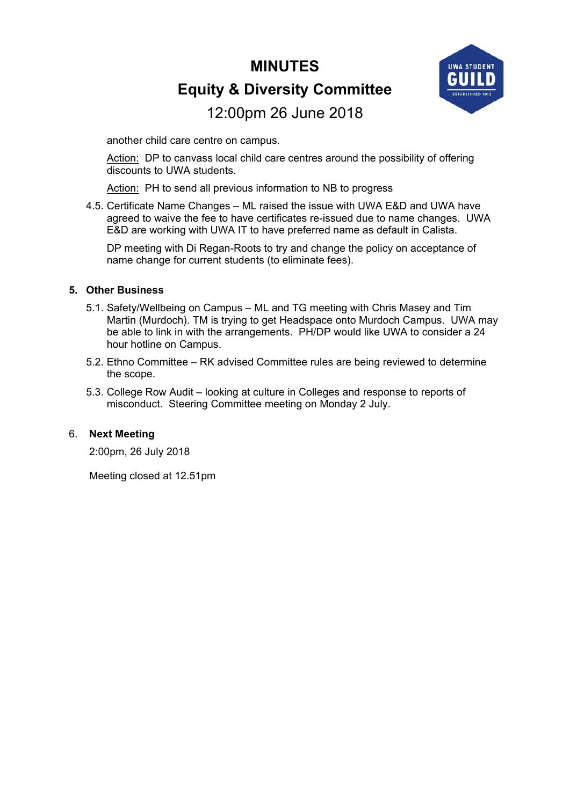# **MINUTES Equity & Diversity Committee**



# 12:00pm 26 June 2018

another child care centre on campus.

Action: DP to canvass local child care centres around the possibility of offering discounts to UWA students.

Action: PH to send all previous information to NB to progress

4.5. Certificate Name Changes – ML raised the issue with UWA E&D and UWA have agreed to waive the fee to have certificates re-issued due to name changes. UWA E&D are working with UWA IT to have preferred name as default in Calista.

DP meeting with Di Regan-Roots to try and change the policy on acceptance of name change for current students (to eliminate fees).

#### **5. Other Business**

- 5.1. Safety/Wellbeing on Campus ML and TG meeting with Chris Masey and Tim Martin (Murdoch). TM is trying to get Headspace onto Murdoch Campus. UWA may be able to link in with the arrangements. PH/DP would like UWA to consider a 24 hour hotline on Campus.
- 5.2. Ethno Committee RK advised Committee rules are being reviewed to determine the scope.
- 5.3. College Row Audit looking at culture in Colleges and response to reports of misconduct. Steering Committee meeting on Monday 2 July.

#### 6. **Next Meeting**

2:00pm, 26 July 2018

Meeting closed at 12.51pm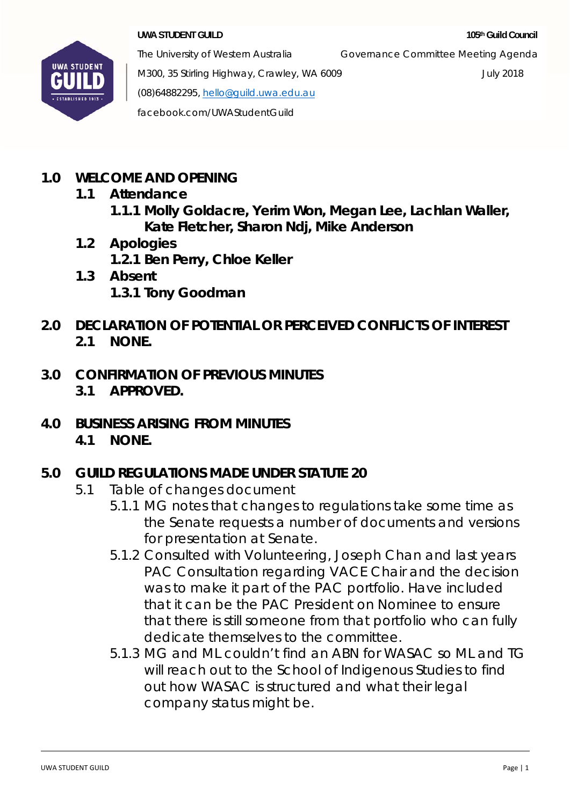

The University of Western Australia Governance Committee Meeting Agenda

M300, 35 Stirling Highway, Crawley, WA 6009 July 2018 (08)64882295, hello@guild.uwa.edu.au facebook.com/UWAStudentGuild

- **1.0 WELCOME AND OPENING** 
	- **1.1 Attendance** 
		- **1.1.1 Molly Goldacre, Yerim Won, Megan Lee, Lachlan Waller, Kate Fletcher, Sharon Ndj, Mike Anderson**
	- **1.2 Apologies 1.2.1 Ben Perry, Chloe Keller**
	- **1.3 Absent 1.3.1 Tony Goodman**
- **2.0 DECLARATION OF POTENTIAL OR PERCEIVED CONFLICTS OF INTEREST 2.1 NONE.**
- **3.0 CONFIRMATION OF PREVIOUS MINUTES 3.1 APPROVED.**
- **4.0 BUSINESS ARISING FROM MINUTES 4.1 NONE.**

# **5.0 GUILD REGULATIONS MADE UNDER STATUTE 20**

- 5.1 Table of changes document
	- 5.1.1 MG notes that changes to regulations take some time as the Senate requests a number of documents and versions for presentation at Senate.
	- 5.1.2 Consulted with Volunteering, Joseph Chan and last years PAC Consultation regarding VACE Chair and the decision was to make it part of the PAC portfolio. Have included that it can be the PAC President on Nominee to ensure that there is still someone from that portfolio who can fully dedicate themselves to the committee.
	- 5.1.3 MG and ML couldn't find an ABN for WASAC so ML and TG will reach out to the School of Indigenous Studies to find out how WASAC is structured and what their legal company status might be.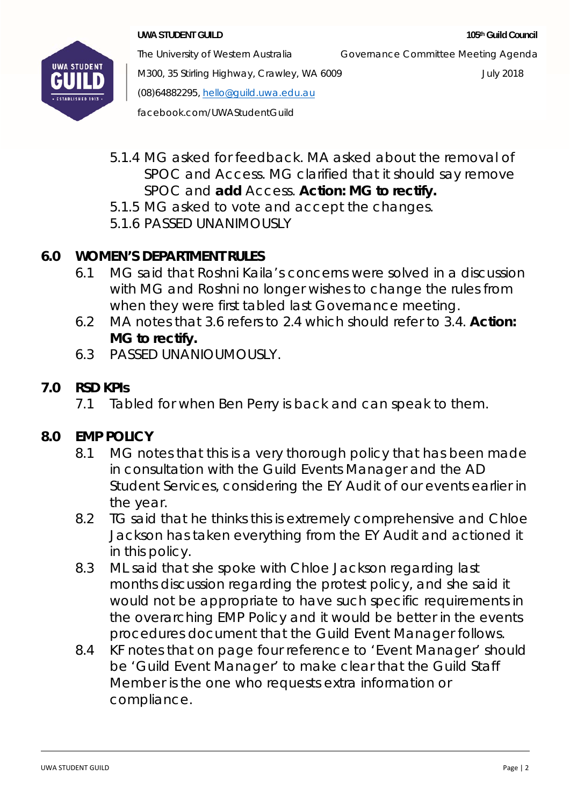

The University of Western Australia Governance Committee Meeting Agenda

M300, 35 Stirling Highway, Crawley, WA 6009 July 2018 (08)64882295, hello@guild.uwa.edu.au facebook.com/UWAStudentGuild

- 5.1.4 MG asked for feedback. MA asked about the removal of SPOC and Access. MG clarified that it should say remove
	- SPOC and **add** Access. **Action: MG to rectify.**
- 5.1.5 MG asked to vote and accept the changes.
- 5.1.6 PASSED UNANIMOUSLY

# **6.0 WOMEN'S DEPARTMENT RULES**

- 6.1 MG said that Roshni Kaila's concerns were solved in a discussion with MG and Roshni no longer wishes to change the rules from when they were first tabled last Governance meeting.
- 6.2 MA notes that 3.6 refers to 2.4 which should refer to 3.4. **Action: MG to rectify.**
- 6.3 PASSED UNANIOUMOUSLY.

# **7.0 RSD KPIs**

7.1 Tabled for when Ben Perry is back and can speak to them.

# **8.0 EMP POLICY**

- 8.1 MG notes that this is a very thorough policy that has been made in consultation with the Guild Events Manager and the AD Student Services, considering the EY Audit of our events earlier in the year.
- 8.2 TG said that he thinks this is extremely comprehensive and Chloe Jackson has taken everything from the EY Audit and actioned it in this policy.
- 8.3 ML said that she spoke with Chloe Jackson regarding last months discussion regarding the protest policy, and she said it would not be appropriate to have such specific requirements in the overarching EMP Policy and it would be better in the events procedures document that the Guild Event Manager follows.
- 8.4 KF notes that on page four reference to 'Event Manager' should be 'Guild Event Manager' to make clear that the Guild Staff Member is the one who requests extra information or compliance.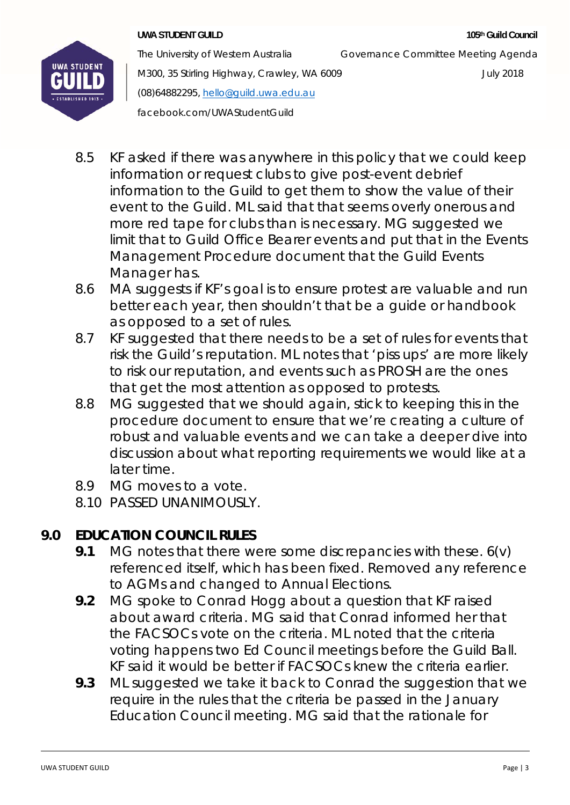

M300, 35 Stirling Highway, Crawley, WA 6009 July 2018 (08)64882295, hello@guild.uwa.edu.au facebook.com/UWAStudentGuild

The University of Western Australia Governance Committee Meeting Agenda

- 8.5 KF asked if there was anywhere in this policy that we could keep information or request clubs to give post-event debrief information to the Guild to get them to show the value of their event to the Guild. ML said that that seems overly onerous and more red tape for clubs than is necessary. MG suggested we limit that to Guild Office Bearer events and put that in the Events Management Procedure document that the Guild Events Manager has.
- 8.6 MA suggests if KF's goal is to ensure protest are valuable and run better each year, then shouldn't that be a guide or handbook as opposed to a set of rules.
- 8.7 KF suggested that there needs to be a set of rules for events that risk the Guild's reputation. ML notes that 'piss ups' are more likely to risk our reputation, and events such as PROSH are the ones that get the most attention as opposed to protests.
- 8.8 MG suggested that we should again, stick to keeping this in the procedure document to ensure that we're creating a culture of robust and valuable events and we can take a deeper dive into discussion about what reporting requirements we would like at a later time.
- 8.9 MG moves to a vote.
- 8.10 PASSED UNANIMOUSLY.

# **9.0 EDUCATION COUNCIL RULES**

- **9.1** MG notes that there were some discrepancies with these. 6(v) referenced itself, which has been fixed. Removed any reference to AGMs and changed to Annual Elections.
- **9.2** MG spoke to Conrad Hogg about a question that KF raised about award criteria. MG said that Conrad informed her that the FACSOCs vote on the criteria. ML noted that the criteria voting happens two Ed Council meetings before the Guild Ball. KF said it would be better if FACSOCs knew the criteria earlier.
- **9.3** ML suggested we take it back to Conrad the suggestion that we require in the rules that the criteria be passed in the January Education Council meeting. MG said that the rationale for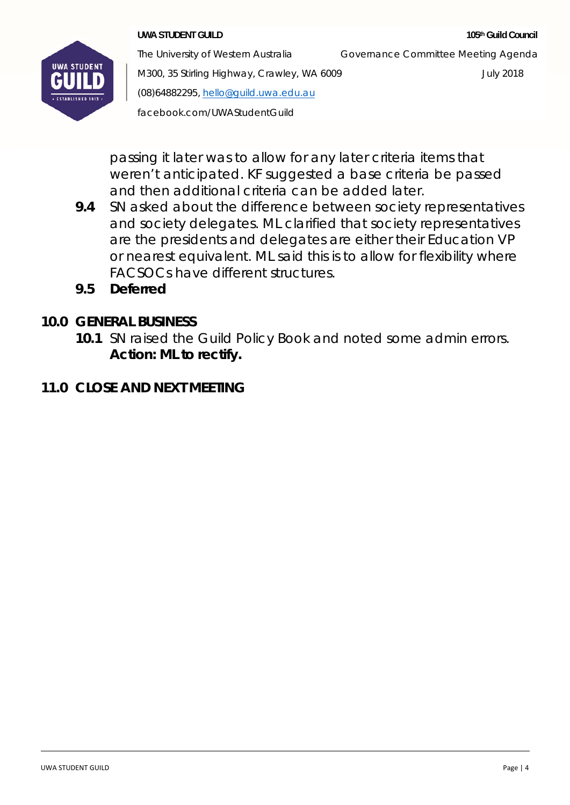

The University of Western Australia Governance Committee Meeting Agenda

M300, 35 Stirling Highway, Crawley, WA 6009 July 2018 (08)64882295, hello@guild.uwa.edu.au facebook.com/UWAStudentGuild

passing it later was to allow for any later criteria items that weren't anticipated. KF suggested a base criteria be passed and then additional criteria can be added later.

- **9.4** SN asked about the difference between society representatives and society delegates. ML clarified that society representatives are the presidents and delegates are either their Education VP or nearest equivalent. ML said this is to allow for flexibility where FACSOCs have different structures.
- **9.5 Deferred**

# **10.0 GENERAL BUSINESS**

**10.1** SN raised the Guild Policy Book and noted some admin errors. **Action: ML to rectify.** 

# **11.0 CLOSE AND NEXT MEETING**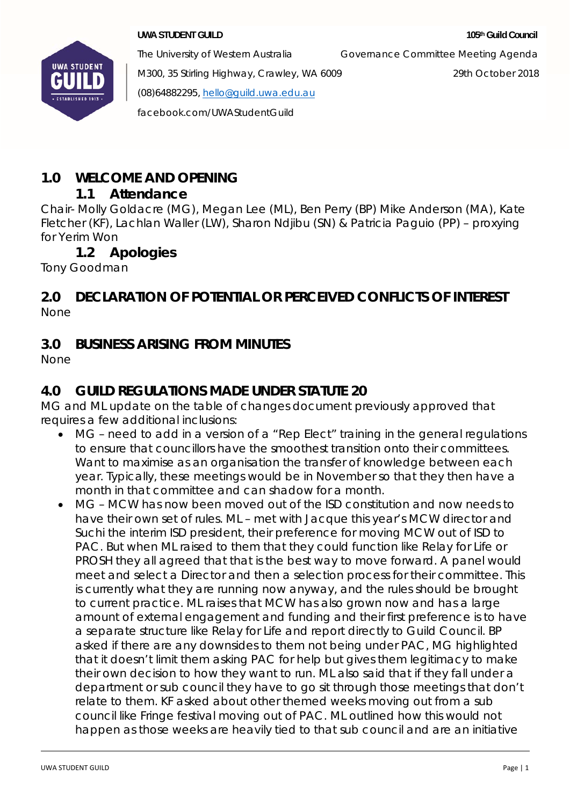

The University of Western Australia Governance Committee Meeting Agenda

M300, 35 Stirling Highway, Crawley, WA 6009 29th October 2018 (08)64882295, hello@guild.uwa.edu.au

facebook.com/UWAStudentGuild

# **1.0 WELCOME AND OPENING**

## **1.1 Attendance**

Chair- Molly Goldacre (MG), Megan Lee (ML), Ben Perry (BP) Mike Anderson (MA), Kate Fletcher (KF), Lachlan Waller (LW), Sharon Ndjibu (SN) & Patricia Paguio (PP) – proxying for Yerim Won

# **1.2 Apologies**

Tony Goodman

### **2.0 DECLARATION OF POTENTIAL OR PERCEIVED CONFLICTS OF INTEREST**  None

# **3.0 BUSINESS ARISING FROM MINUTES**

None

# **4.0 GUILD REGULATIONS MADE UNDER STATUTE 20**

MG and ML update on the table of changes document previously approved that requires a few additional inclusions:

- MG need to add in a version of a "Rep Elect" training in the general regulations to ensure that councillors have the smoothest transition onto their committees. Want to maximise as an organisation the transfer of knowledge between each year. Typically, these meetings would be in November so that they then have a month in that committee and can shadow for a month.
- MG MCW has now been moved out of the ISD constitution and now needs to have their own set of rules. ML – met with Jacque this year's MCW director and Suchi the interim ISD president, their preference for moving MCW out of ISD to PAC. But when ML raised to them that they could function like Relay for Life or PROSH they all agreed that that is the best way to move forward. A panel would meet and select a Director and then a selection process for their committee. This is currently what they are running now anyway, and the rules should be brought to current practice. ML raises that MCW has also grown now and has a large amount of external engagement and funding and their first preference is to have a separate structure like Relay for Life and report directly to Guild Council. BP asked if there are any downsides to them not being under PAC, MG highlighted that it doesn't limit them asking PAC for help but gives them legitimacy to make their own decision to how they want to run. ML also said that if they fall under a department or sub council they have to go sit through those meetings that don't relate to them. KF asked about other themed weeks moving out from a sub council like Fringe festival moving out of PAC. ML outlined how this would not happen as those weeks are heavily tied to that sub council and are an initiative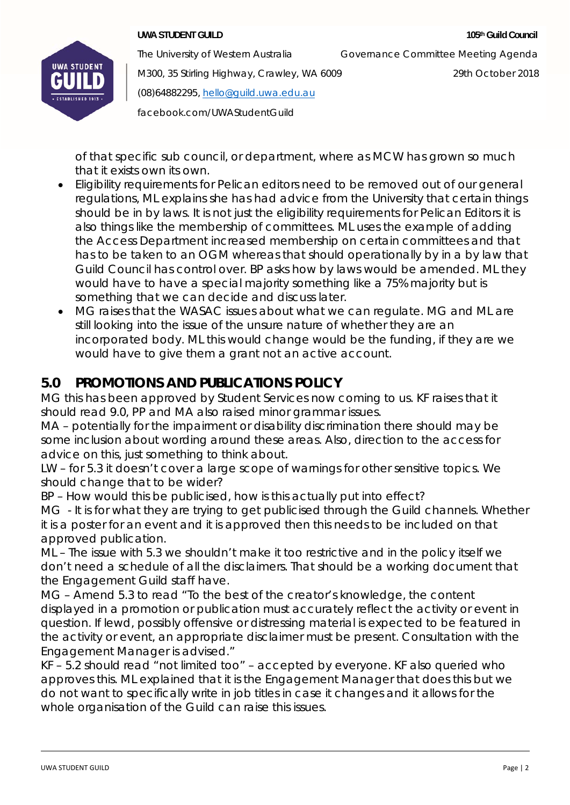### **UWA STUDENT GUILD 105th Guild Council <b>105th Guild Council 105th Guild Council**



The University of Western Australia Governance Committee Meeting Agenda

M300, 35 Stirling Highway, Crawley, WA 6009 29th October 2018

(08)64882295, hello@guild.uwa.edu.au

facebook.com/UWAStudentGuild

of that specific sub council, or department, where as MCW has grown so much that it exists own its own.

- Eligibility requirements for Pelican editors need to be removed out of our general regulations, ML explains she has had advice from the University that certain things should be in by laws. It is not just the eligibility requirements for Pelican Editors it is also things like the membership of committees. ML uses the example of adding the Access Department increased membership on certain committees and that has to be taken to an OGM whereas that should operationally by in a by law that Guild Council has control over. BP asks how by laws would be amended. ML they would have to have a special majority something like a 75% majority but is something that we can decide and discuss later.
- MG raises that the WASAC issues about what we can regulate. MG and ML are still looking into the issue of the unsure nature of whether they are an incorporated body. ML this would change would be the funding, if they are we would have to give them a grant not an active account.

# **5.0 PROMOTIONS AND PUBLICATIONS POLICY**

MG this has been approved by Student Services now coming to us. KF raises that it should read 9.0, PP and MA also raised minor grammar issues.

MA – potentially for the impairment or disability discrimination there should may be some inclusion about wording around these areas. Also, direction to the access for advice on this, just something to think about.

LW – for 5.3 it doesn't cover a large scope of warnings for other sensitive topics. We should change that to be wider?

BP – How would this be publicised, how is this actually put into effect?

MG - It is for what they are trying to get publicised through the Guild channels. Whether it is a poster for an event and it is approved then this needs to be included on that approved publication.

ML – The issue with 5.3 we shouldn't make it too restrictive and in the policy itself we don't need a schedule of all the disclaimers. That should be a working document that the Engagement Guild staff have.

MG – Amend 5.3 to read "To the best of the creator's knowledge, the content displayed in a promotion or publication must accurately reflect the activity or event in question. If lewd, possibly offensive or distressing material is expected to be featured in the activity or event, an appropriate disclaimer must be present. Consultation with the Engagement Manager is advised."

KF – 5.2 should read "not limited too" – accepted by everyone. KF also queried who approves this. ML explained that it is the Engagement Manager that does this but we do not want to specifically write in job titles in case it changes and it allows for the whole organisation of the Guild can raise this issues.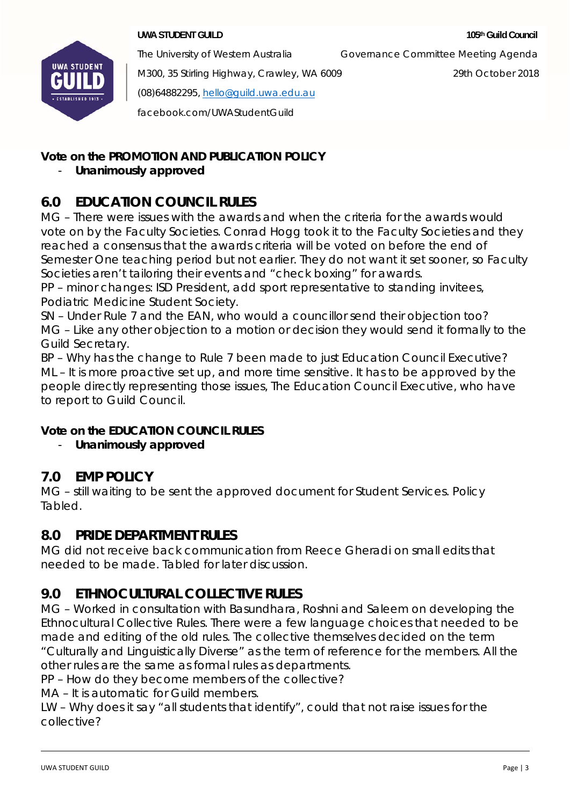

The University of Western Australia Governance Committee Meeting Agenda

M300, 35 Stirling Highway, Crawley, WA 6009 29th October 2018 (08)64882295, hello@guild.uwa.edu.au facebook.com/UWAStudentGuild

## **Vote on the PROMOTION AND PUBLICATION POLICY**

## - **Unanimously approved**

# **6.0 EDUCATION COUNCIL RULES**

MG – There were issues with the awards and when the criteria for the awards would vote on by the Faculty Societies. Conrad Hogg took it to the Faculty Societies and they reached a consensus that the awards criteria will be voted on before the end of Semester One teaching period but not earlier. They do not want it set sooner, so Faculty Societies aren't tailoring their events and "check boxing" for awards.

PP – minor changes: ISD President, add sport representative to standing invitees, Podiatric Medicine Student Society.

SN – Under Rule 7 and the EAN, who would a councillor send their objection too? MG – Like any other objection to a motion or decision they would send it formally to the Guild Secretary.

BP – Why has the change to Rule 7 been made to just Education Council Executive? ML – It is more proactive set up, and more time sensitive. It has to be approved by the people directly representing those issues, The Education Council Executive, who have to report to Guild Council.

### **Vote on the EDUCATION COUNCIL RULES**

- **Unanimously approved** 

# **7.0 EMP POLICY**

MG – still waiting to be sent the approved document for Student Services. Policy Tabled.

## **8.0 PRIDE DEPARTMENT RULES**

MG did not receive back communication from Reece Gheradi on small edits that needed to be made. Tabled for later discussion.

# **9.0 ETHNOCULTURAL COLLECTIVE RULES**

MG – Worked in consultation with Basundhara, Roshni and Saleem on developing the Ethnocultural Collective Rules. There were a few language choices that needed to be made and editing of the old rules. The collective themselves decided on the term "Culturally and Linguistically Diverse" as the term of reference for the members. All the other rules are the same as formal rules as departments.

PP – How do they become members of the collective?

MA – It is automatic for Guild members.

LW – Why does it say "all students that identify", could that not raise issues for the collective?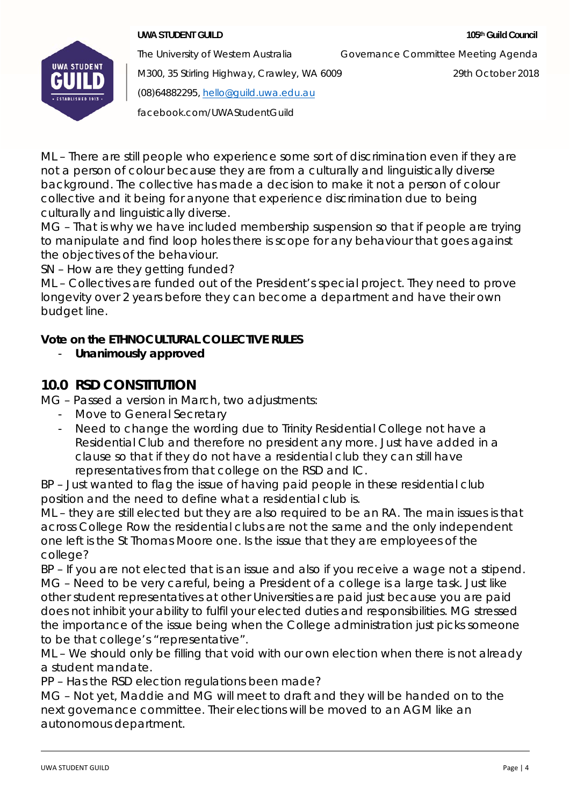

The University of Western Australia Governance Committee Meeting Agenda

M300, 35 Stirling Highway, Crawley, WA 6009 29th October 2018

(08)64882295, hello@guild.uwa.edu.au

facebook.com/UWAStudentGuild

ML – There are still people who experience some sort of discrimination even if they are not a person of colour because they are from a culturally and linguistically diverse background. The collective has made a decision to make it not a person of colour collective and it being for anyone that experience discrimination due to being culturally and linguistically diverse.

MG – That is why we have included membership suspension so that if people are trying to manipulate and find loop holes there is scope for any behaviour that goes against the objectives of the behaviour.

SN – How are they getting funded?

ML – Collectives are funded out of the President's special project. They need to prove longevity over 2 years before they can become a department and have their own budget line.

## **Vote on the ETHNOCULTURAL COLLECTIVE RULES**

- **Unanimously approved** 

# **10.0 RSD CONSTITUTION**

MG – Passed a version in March, two adjustments:

- Move to General Secretary
- Need to change the wording due to Trinity Residential College not have a Residential Club and therefore no president any more. Just have added in a clause so that if they do not have a residential club they can still have representatives from that college on the RSD and IC.

BP – Just wanted to flag the issue of having paid people in these residential club position and the need to define what a residential club is.

ML – they are still elected but they are also required to be an RA. The main issues is that across College Row the residential clubs are not the same and the only independent one left is the St Thomas Moore one. Is the issue that they are employees of the college?

BP – If you are not elected that is an issue and also if you receive a wage not a stipend. MG – Need to be very careful, being a President of a college is a large task. Just like other student representatives at other Universities are paid just because you are paid does not inhibit your ability to fulfil your elected duties and responsibilities. MG stressed the importance of the issue being when the College administration just picks someone to be that college's "representative".

ML – We should only be filling that void with our own election when there is not already a student mandate.

PP – Has the RSD election regulations been made?

MG – Not yet, Maddie and MG will meet to draft and they will be handed on to the next governance committee. Their elections will be moved to an AGM like an autonomous department.